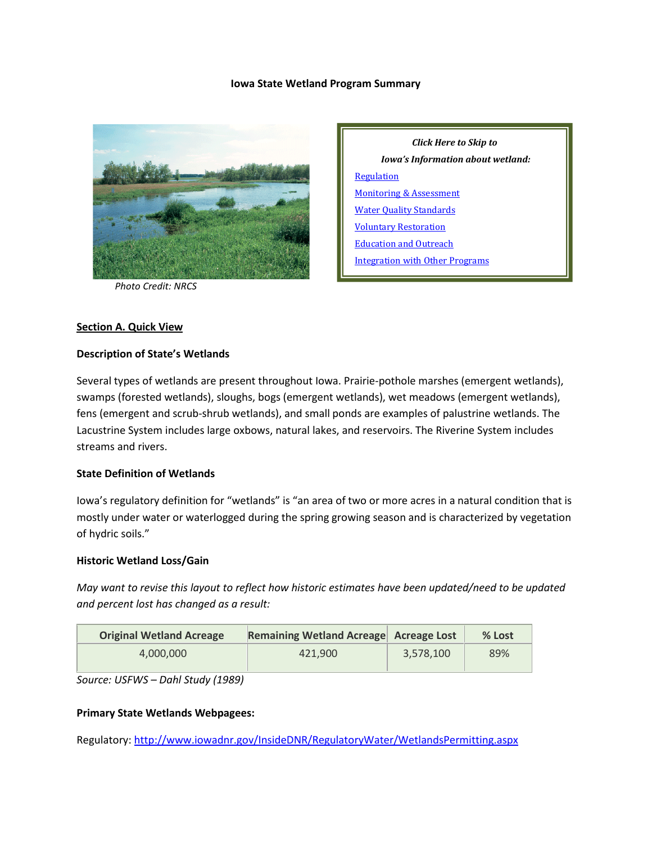### **Iowa State Wetland Program Summary**



*Photo Credit: NRCS*

*Click Here to Skip to Iowa's Information about wetland:* **[Regulation](#page-1-0)** [Monitoring & Assessment](#page-4-0) [Water Quality Standards](#page-5-0) [Voluntary Restoration](#page-6-0) [Education and Outreach](#page-7-0) [Integration with Other Programs](#page-7-1)

### **Section A. Quick View**

### **Description of State's Wetlands**

Several types of wetlands are present throughout Iowa. Prairie-pothole marshes (emergent wetlands), swamps (forested wetlands), sloughs, bogs (emergent wetlands), wet meadows (emergent wetlands), fens (emergent and scrub-shrub wetlands), and small ponds are examples of palustrine wetlands. The Lacustrine System includes large oxbows, natural lakes, and reservoirs. The Riverine System includes streams and rivers.

### **State Definition of Wetlands**

Iowa's regulatory definition for "wetlands" is "an area of two or more acres in a natural condition that is mostly under water or waterlogged during the spring growing season and is characterized by vegetation of hydric soils."

#### **Historic Wetland Loss/Gain**

*May want to revise this layout to reflect how historic estimates have been updated/need to be updated and percent lost has changed as a result:*

| <b>Original Wetland Acreage</b> | Remaining Wetland Acreage Acreage Lost |           | % Lost |
|---------------------------------|----------------------------------------|-----------|--------|
| 4.000.000                       | 421.900                                | 3.578.100 | 89%    |

*Source: USFWS – Dahl Study (1989)*

### **Primary State Wetlands Webpagees:**

Regulatory:<http://www.iowadnr.gov/InsideDNR/RegulatoryWater/WetlandsPermitting.aspx>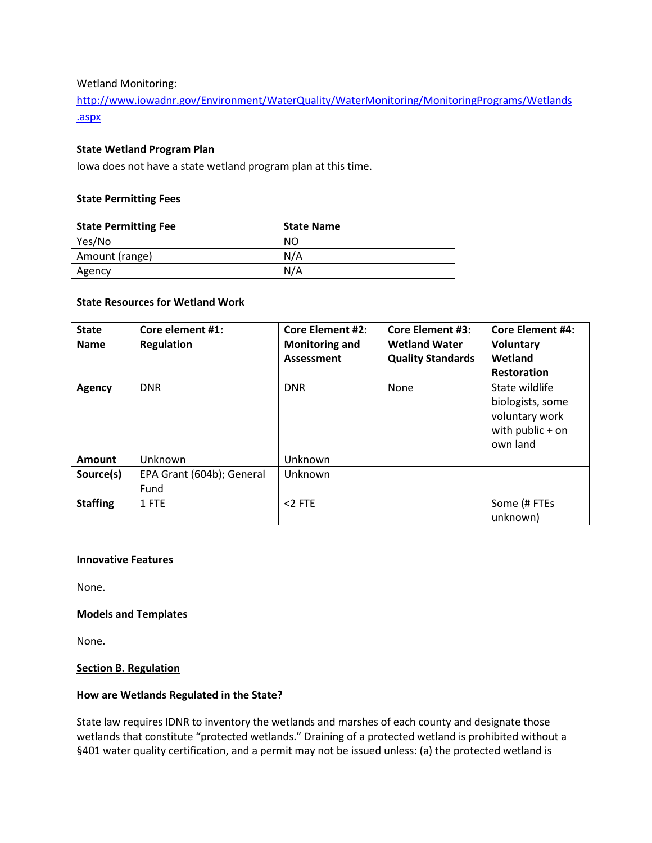Wetland Monitoring:

[http://www.iowadnr.gov/Environment/WaterQuality/WaterMonitoring/MonitoringPrograms/Wetlands](http://www.iowadnr.gov/Environment/WaterQuality/WaterMonitoring/MonitoringPrograms/Wetlands.aspx) [.aspx](http://www.iowadnr.gov/Environment/WaterQuality/WaterMonitoring/MonitoringPrograms/Wetlands.aspx)

### **State Wetland Program Plan**

Iowa does not have a state wetland program plan at this time.

### **State Permitting Fees**

| <b>State Permitting Fee</b> | <b>State Name</b> |
|-----------------------------|-------------------|
| Yes/No                      | NO                |
| Amount (range)              | N/A               |
| Agency                      | N/A               |

### **State Resources for Wetland Work**

| <b>State</b><br><b>Name</b> | Core element #1:<br><b>Regulation</b> | <b>Core Element #2:</b><br><b>Monitoring and</b><br>Assessment | <b>Core Element #3:</b><br><b>Wetland Water</b><br><b>Quality Standards</b> | <b>Core Element #4:</b><br><b>Voluntary</b><br>Wetland<br><b>Restoration</b>           |
|-----------------------------|---------------------------------------|----------------------------------------------------------------|-----------------------------------------------------------------------------|----------------------------------------------------------------------------------------|
| Agency                      | <b>DNR</b>                            | <b>DNR</b>                                                     | None                                                                        | State wildlife<br>biologists, some<br>voluntary work<br>with public $+$ on<br>own land |
| <b>Amount</b>               | Unknown                               | Unknown                                                        |                                                                             |                                                                                        |
| Source(s)                   | EPA Grant (604b); General<br>Fund     | Unknown                                                        |                                                                             |                                                                                        |
| <b>Staffing</b>             | 1 FTE                                 | $<$ 2 FTE                                                      |                                                                             | Some (# FTEs<br>unknown)                                                               |

### **Innovative Features**

None.

### **Models and Templates**

None.

### <span id="page-1-0"></span>**Section B. Regulation**

### **How are Wetlands Regulated in the State?**

State law requires IDNR to inventory the wetlands and marshes of each county and designate those wetlands that constitute "protected wetlands." Draining of a protected wetland is prohibited without a §401 water quality certification, and a permit may not be issued unless: (a) the protected wetland is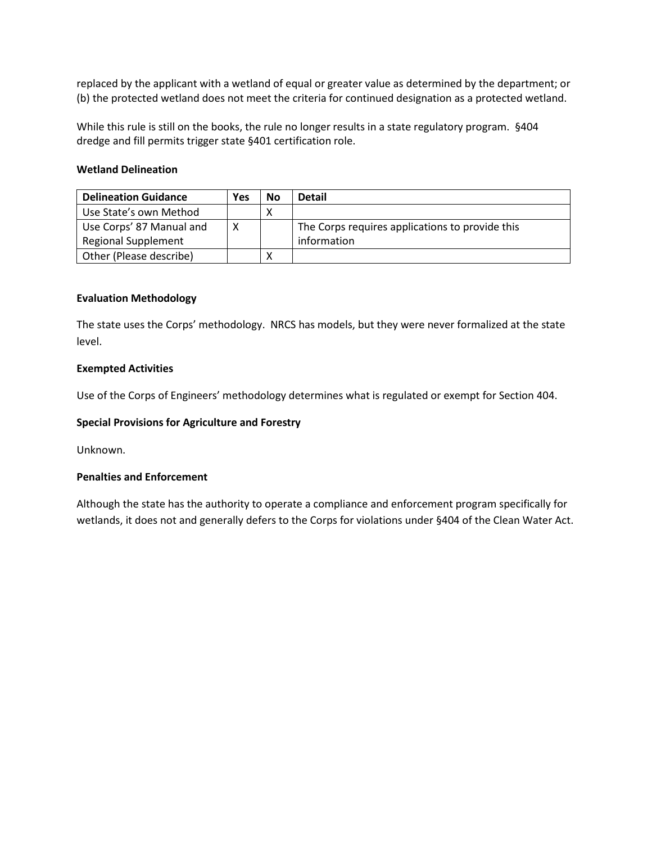replaced by the applicant with a wetland of equal or greater value as determined by the department; or (b) the protected wetland does not meet the criteria for continued designation as a protected wetland.

While this rule is still on the books, the rule no longer results in a state regulatory program. §404 dredge and fill permits trigger state §401 certification role.

### **Wetland Delineation**

| <b>Delineation Guidance</b> | Yes | <b>No</b> | <b>Detail</b>                                   |
|-----------------------------|-----|-----------|-------------------------------------------------|
| Use State's own Method      |     |           |                                                 |
| Use Corps' 87 Manual and    | x   |           | The Corps requires applications to provide this |
| <b>Regional Supplement</b>  |     |           | information                                     |
| Other (Please describe)     |     | v         |                                                 |

### **Evaluation Methodology**

The state uses the Corps' methodology. NRCS has models, but they were never formalized at the state level.

### **Exempted Activities**

Use of the Corps of Engineers' methodology determines what is regulated or exempt for Section 404.

### **Special Provisions for Agriculture and Forestry**

Unknown.

### **Penalties and Enforcement**

Although the state has the authority to operate a compliance and enforcement program specifically for wetlands, it does not and generally defers to the Corps for violations under §404 of the Clean Water Act.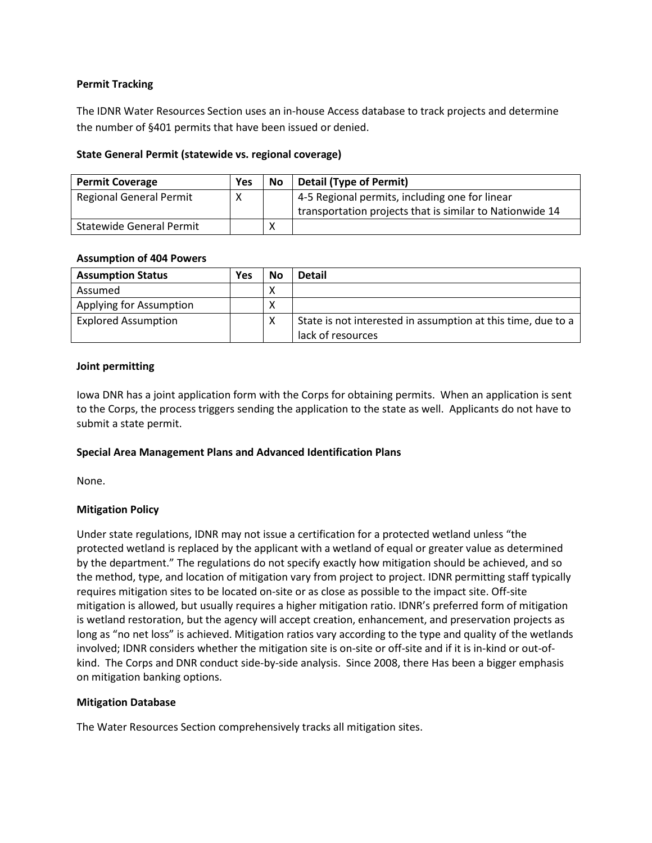# **Permit Tracking**

The IDNR Water Resources Section uses an in-house Access database to track projects and determine the number of §401 permits that have been issued or denied.

# **State General Permit (statewide vs. regional coverage)**

| <b>Permit Coverage</b>         | Yes | No | <b>Detail (Type of Permit)</b>                           |
|--------------------------------|-----|----|----------------------------------------------------------|
| <b>Regional General Permit</b> |     |    | 4-5 Regional permits, including one for linear           |
|                                |     |    | transportation projects that is similar to Nationwide 14 |
| Statewide General Permit       |     |    |                                                          |

# **Assumption of 404 Powers**

| <b>Assumption Status</b>   | Yes | No | <b>Detail</b>                                                |
|----------------------------|-----|----|--------------------------------------------------------------|
| Assumed                    |     | ∧  |                                                              |
| Applying for Assumption    |     | Χ  |                                                              |
| <b>Explored Assumption</b> |     | ∧  | State is not interested in assumption at this time, due to a |
|                            |     |    | lack of resources                                            |

# **Joint permitting**

Iowa DNR has a joint application form with the Corps for obtaining permits. When an application is sent to the Corps, the process triggers sending the application to the state as well. Applicants do not have to submit a state permit.

# **Special Area Management Plans and Advanced Identification Plans**

None.

# **Mitigation Policy**

Under state regulations, IDNR may not issue a certification for a protected wetland unless "the protected wetland is replaced by the applicant with a wetland of equal or greater value as determined by the department." The regulations do not specify exactly how mitigation should be achieved, and so the method, type, and location of mitigation vary from project to project. IDNR permitting staff typically requires mitigation sites to be located on-site or as close as possible to the impact site. Off-site mitigation is allowed, but usually requires a higher mitigation ratio. IDNR's preferred form of mitigation is wetland restoration, but the agency will accept creation, enhancement, and preservation projects as long as "no net loss" is achieved. Mitigation ratios vary according to the type and quality of the wetlands involved; IDNR considers whether the mitigation site is on-site or off-site and if it is in-kind or out-ofkind. The Corps and DNR conduct side-by-side analysis. Since 2008, there Has been a bigger emphasis on mitigation banking options.

# **Mitigation Database**

The Water Resources Section comprehensively tracks all mitigation sites.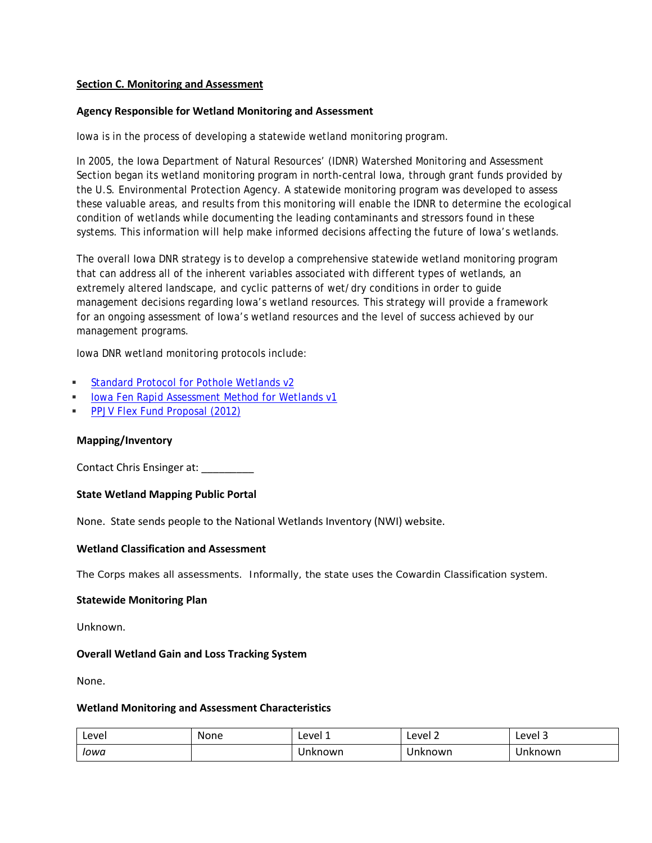### <span id="page-4-0"></span>**Section C. Monitoring and Assessment**

### **Agency Responsible for Wetland Monitoring and Assessment**

Iowa is in the process of developing a statewide wetland monitoring program.

In 2005, the Iowa Department of Natural Resources' (IDNR) Watershed Monitoring and Assessment Section began its wetland monitoring program in north-central Iowa, through grant funds provided by the U.S. Environmental Protection Agency. A statewide monitoring program was developed to assess these valuable areas, and results from this monitoring will enable the IDNR to determine the ecological condition of wetlands while documenting the leading contaminants and stressors found in these systems. This information will help make informed decisions affecting the future of Iowa's wetlands.

The overall Iowa DNR strategy is to develop a comprehensive statewide wetland monitoring program that can address all of the inherent variables associated with different types of wetlands, an extremely altered landscape, and cyclic patterns of wet/dry conditions in order to guide management decisions regarding Iowa's wetland resources. This strategy will provide a framework for an ongoing assessment of Iowa's wetland resources and the level of success achieved by our management programs.

Iowa DNR wetland monitoring protocols include:

- [Standard Protocol for Pothole Wetlands v2](http://www.iowadnr.gov/Portals/idnr/uploads/watermonitoring/wetlands/Standard%20Protocol%20for%20Pothole%20Wetlands%20Version%202.pdf)
- **[Iowa Fen Rapid Assessment Method for Wetlands v1](http://www.iowadnr.gov/Portals/idnr/uploads/watermonitoring/wetlands/Iowa%20Fen%20Rapid%20Assessment%20Method%20for%20Wetlands%20v1.pdf)**
- **[PPJV Flex Fund Proposal \(2012\)](http://www.iowadnr.gov/Portals/idnr/uploads/watermonitoring/wetlands/PPJV%20Flex%20Fund%20Proposal%20FINAL%20REPORT%2012_27_2012.pdf)**

### **Mapping/Inventory**

Contact Chris Ensinger at:

### **State Wetland Mapping Public Portal**

None. State sends people to the National Wetlands Inventory (NWI) website.

### **Wetland Classification and Assessment**

The Corps makes all assessments. Informally, the state uses the Cowardin Classification system.

### **Statewide Monitoring Plan**

Unknown.

### **Overall Wetland Gain and Loss Tracking System**

None.

### **Wetland Monitoring and Assessment Characteristics**

| Level | None | Level 1 | Level 2 | Level 3 |
|-------|------|---------|---------|---------|
| Iowa  |      | Unknown | Unknown | Unknown |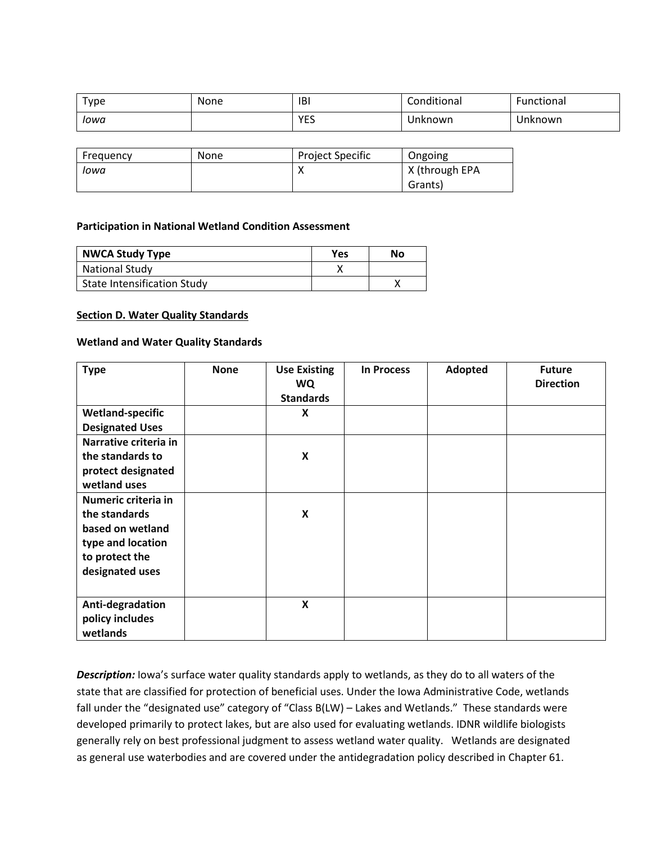| Type | None | <b>IBI</b>         | Conditional | Functional |
|------|------|--------------------|-------------|------------|
| Iowa |      | <b>VES</b><br>ر _ا | Unknown     | Unknown    |

| Frequency | <b>None</b> | Project Specific | Ongoing        |
|-----------|-------------|------------------|----------------|
| Iowa      |             |                  | X (through EPA |
|           |             |                  | Grants)        |

### **Participation in National Wetland Condition Assessment**

| <b>NWCA Study Type</b>             | Yes | No |
|------------------------------------|-----|----|
| <b>National Study</b>              |     |    |
| <b>State Intensification Study</b> |     |    |

#### <span id="page-5-0"></span>**Section D. Water Quality Standards**

#### **Wetland and Water Quality Standards**

| <b>Type</b>             | <b>None</b> | <b>Use Existing</b><br>WQ | <b>In Process</b> | Adopted | <b>Future</b><br><b>Direction</b> |
|-------------------------|-------------|---------------------------|-------------------|---------|-----------------------------------|
|                         |             | <b>Standards</b>          |                   |         |                                   |
| <b>Wetland-specific</b> |             | X                         |                   |         |                                   |
| <b>Designated Uses</b>  |             |                           |                   |         |                                   |
| Narrative criteria in   |             |                           |                   |         |                                   |
| the standards to        |             | X                         |                   |         |                                   |
| protect designated      |             |                           |                   |         |                                   |
| wetland uses            |             |                           |                   |         |                                   |
| Numeric criteria in     |             |                           |                   |         |                                   |
| the standards           |             | $\boldsymbol{\mathsf{x}}$ |                   |         |                                   |
| based on wetland        |             |                           |                   |         |                                   |
| type and location       |             |                           |                   |         |                                   |
| to protect the          |             |                           |                   |         |                                   |
| designated uses         |             |                           |                   |         |                                   |
|                         |             |                           |                   |         |                                   |
| Anti-degradation        |             | X                         |                   |         |                                   |
| policy includes         |             |                           |                   |         |                                   |
| wetlands                |             |                           |                   |         |                                   |

*Description:* Iowa's surface water quality standards apply to wetlands, as they do to all waters of the state that are classified for protection of beneficial uses. Under the Iowa Administrative Code, wetlands fall under the "designated use" category of "Class B(LW) - Lakes and Wetlands." These standards were developed primarily to protect lakes, but are also used for evaluating wetlands. IDNR wildlife biologists generally rely on best professional judgment to assess wetland water quality. Wetlands are designated as general use waterbodies and are covered under the antidegradation policy described in Chapter 61.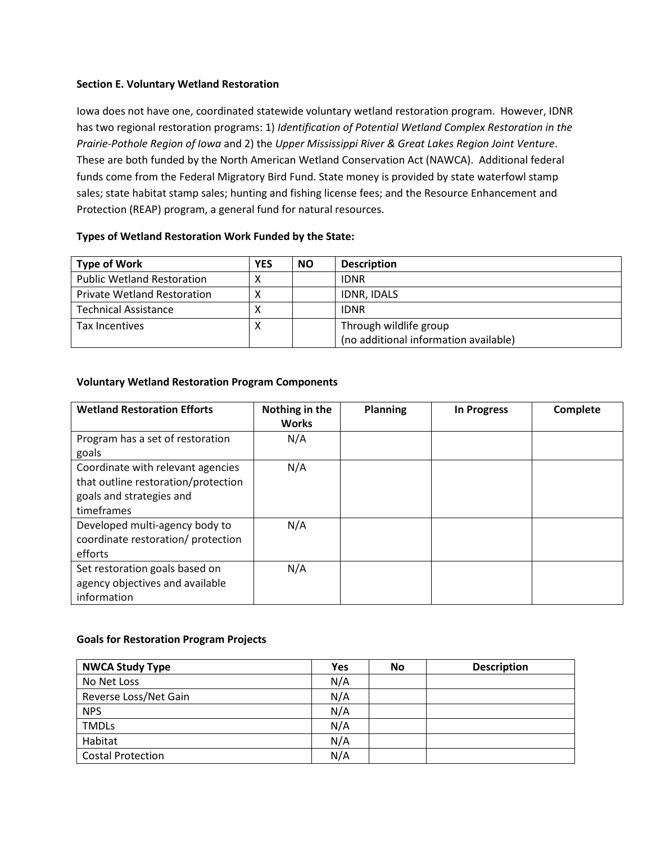# <span id="page-6-0"></span>**Section E. Voluntary Wetland Restoration**

Iowa does not have one, coordinated statewide voluntary wetland restoration program. However, IDNR has two regional restoration programs: 1) *Identification of Potential Wetland Complex Restoration in the Prairie-Pothole Region of Iowa* and 2) the *Upper Mississippi River & Great Lakes Region Joint Venture*. These are both funded by the North American Wetland Conservation Act (NAWCA). Additional federal funds come from the Federal Migratory Bird Fund. State money is provided by state waterfowl stamp sales; state habitat stamp sales; hunting and fishing license fees; and the Resource Enhancement and Protection (REAP) program, a general fund for natural resources.

# **Types of Wetland Restoration Work Funded by the State:**

| <b>Type of Work</b>                | <b>YES</b> | <b>NO</b> | <b>Description</b>                    |
|------------------------------------|------------|-----------|---------------------------------------|
| <b>Public Wetland Restoration</b>  |            |           | <b>IDNR</b>                           |
| <b>Private Wetland Restoration</b> |            |           | IDNR, IDALS                           |
| <b>Technical Assistance</b>        |            |           | <b>IDNR</b>                           |
| <b>Tax Incentives</b>              | ↗          |           | Through wildlife group                |
|                                    |            |           | (no additional information available) |

# **Voluntary Wetland Restoration Program Components**

| <b>Wetland Restoration Efforts</b>                                                                                 | Nothing in the<br><b>Works</b> | <b>Planning</b> | <b>In Progress</b> | Complete |
|--------------------------------------------------------------------------------------------------------------------|--------------------------------|-----------------|--------------------|----------|
| Program has a set of restoration<br>goals                                                                          | N/A                            |                 |                    |          |
| Coordinate with relevant agencies<br>that outline restoration/protection<br>goals and strategies and<br>timeframes | N/A                            |                 |                    |          |
| Developed multi-agency body to<br>coordinate restoration/ protection<br>efforts                                    | N/A                            |                 |                    |          |
| Set restoration goals based on<br>agency objectives and available<br>information                                   | N/A                            |                 |                    |          |

# **Goals for Restoration Program Projects**

| <b>NWCA Study Type</b>   | Yes | No | <b>Description</b> |
|--------------------------|-----|----|--------------------|
| No Net Loss              | N/A |    |                    |
| Reverse Loss/Net Gain    | N/A |    |                    |
| <b>NPS</b>               | N/A |    |                    |
| <b>TMDLs</b>             | N/A |    |                    |
| Habitat                  | N/A |    |                    |
| <b>Costal Protection</b> | N/A |    |                    |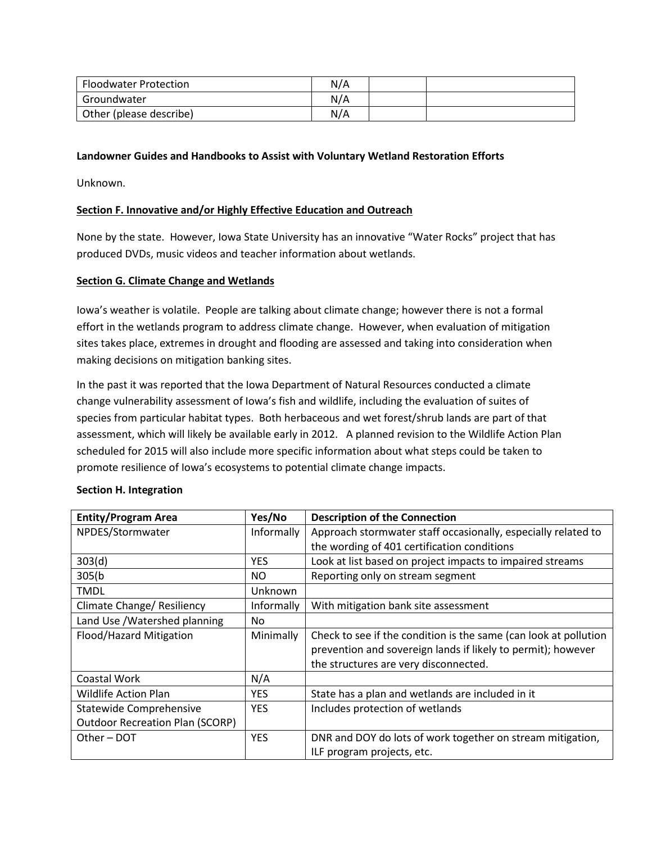| <b>Floodwater Protection</b> | N/A |  |
|------------------------------|-----|--|
| Groundwater                  | N/A |  |
| Other (please describe)      | N/A |  |

# **Landowner Guides and Handbooks to Assist with Voluntary Wetland Restoration Efforts**

Unknown.

# <span id="page-7-0"></span>**Section F. Innovative and/or Highly Effective Education and Outreach**

None by the state. However, Iowa State University has an innovative "Water Rocks" project that has produced DVDs, music videos and teacher information about wetlands.

### **Section G. Climate Change and Wetlands**

Iowa's weather is volatile. People are talking about climate change; however there is not a formal effort in the wetlands program to address climate change. However, when evaluation of mitigation sites takes place, extremes in drought and flooding are assessed and taking into consideration when making decisions on mitigation banking sites.

In the past it was reported that the Iowa Department of Natural Resources conducted a climate change vulnerability assessment of Iowa's fish and wildlife, including the evaluation of suites of species from particular habitat types. Both herbaceous and wet forest/shrub lands are part of that assessment, which will likely be available early in 2012. A planned revision to the Wildlife Action Plan scheduled for 2015 will also include more specific information about what steps could be taken to promote resilience of Iowa's ecosystems to potential climate change impacts.

| <b>Entity/Program Area</b>             | Yes/No     | <b>Description of the Connection</b>                             |  |
|----------------------------------------|------------|------------------------------------------------------------------|--|
| NPDES/Stormwater                       | Informally | Approach stormwater staff occasionally, especially related to    |  |
|                                        |            | the wording of 401 certification conditions                      |  |
| 303(d)                                 | <b>YES</b> | Look at list based on project impacts to impaired streams        |  |
| 305(b)                                 | NO.        | Reporting only on stream segment                                 |  |
| <b>TMDL</b>                            | Unknown    |                                                                  |  |
| Climate Change/ Resiliency             | Informally | With mitigation bank site assessment                             |  |
| Land Use / Watershed planning<br>No.   |            |                                                                  |  |
| Flood/Hazard Mitigation                | Minimally  | Check to see if the condition is the same (can look at pollution |  |
|                                        |            | prevention and sovereign lands if likely to permit); however     |  |
|                                        |            | the structures are very disconnected.                            |  |
| Coastal Work                           | N/A        |                                                                  |  |
| Wildlife Action Plan                   | <b>YES</b> | State has a plan and wetlands are included in it                 |  |
| Statewide Comprehensive                | <b>YES</b> | Includes protection of wetlands                                  |  |
| <b>Outdoor Recreation Plan (SCORP)</b> |            |                                                                  |  |
| Other-DOT                              | <b>YES</b> | DNR and DOY do lots of work together on stream mitigation,       |  |
|                                        |            | ILF program projects, etc.                                       |  |

### <span id="page-7-1"></span>**Section H. Integration**